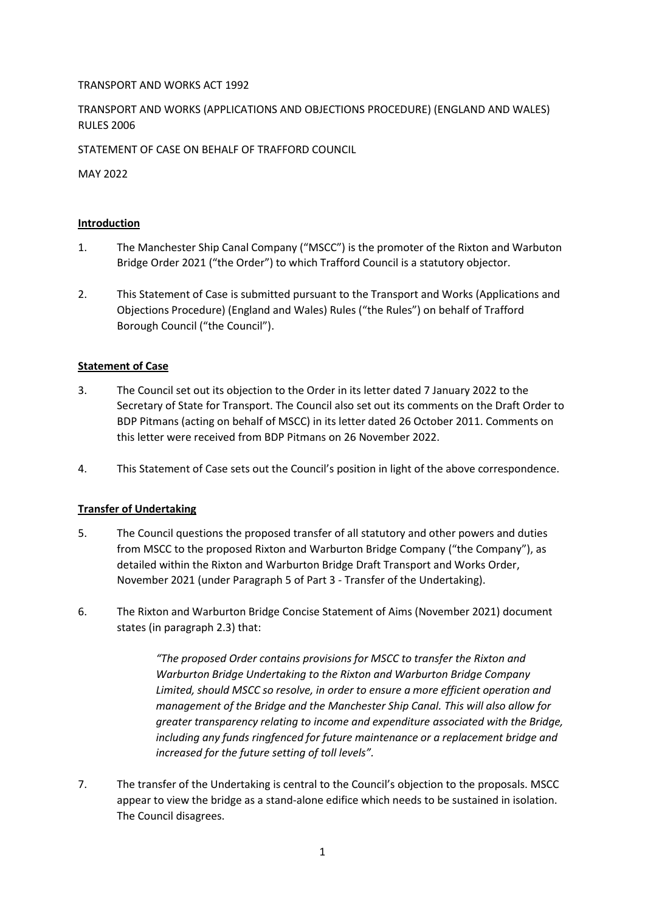# TRANSPORT AND WORKS ACT 1992

TRANSPORT AND WORKS (APPLICATIONS AND OBJECTIONS PROCEDURE) (ENGLAND AND WALES) RULES 2006

STATEMENT OF CASE ON BEHALF OF TRAFFORD COUNCIL

MAY 2022

# **Introduction**

- 1. The Manchester Ship Canal Company ("MSCC") is the promoter of the Rixton and Warbuton Bridge Order 2021 ("the Order") to which Trafford Council is a statutory objector.
- 2. This Statement of Case is submitted pursuant to the Transport and Works (Applications and Objections Procedure) (England and Wales) Rules ("the Rules") on behalf of Trafford Borough Council ("the Council").

# **Statement of Case**

- 3. The Council set out its objection to the Order in its letter dated 7 January 2022 to the Secretary of State for Transport. The Council also set out its comments on the Draft Order to BDP Pitmans (acting on behalf of MSCC) in its letter dated 26 October 2011. Comments on this letter were received from BDP Pitmans on 26 November 2022.
- 4. This Statement of Case sets out the Council's position in light of the above correspondence.

# **Transfer of Undertaking**

- 5. The Council questions the proposed transfer of all statutory and other powers and duties from MSCC to the proposed Rixton and Warburton Bridge Company ("the Company"), as detailed within the Rixton and Warburton Bridge Draft Transport and Works Order, November 2021 (under Paragraph 5 of Part 3 - Transfer of the Undertaking).
- 6. The Rixton and Warburton Bridge Concise Statement of Aims (November 2021) document states (in paragraph 2.3) that:

*"The proposed Order contains provisions for MSCC to transfer the Rixton and Warburton Bridge Undertaking to the Rixton and Warburton Bridge Company Limited, should MSCC so resolve, in order to ensure a more efficient operation and management of the Bridge and the Manchester Ship Canal. This will also allow for greater transparency relating to income and expenditure associated with the Bridge, including any funds ringfenced for future maintenance or a replacement bridge and increased for the future setting of toll levels".* 

7. The transfer of the Undertaking is central to the Council's objection to the proposals. MSCC appear to view the bridge as a stand-alone edifice which needs to be sustained in isolation. The Council disagrees.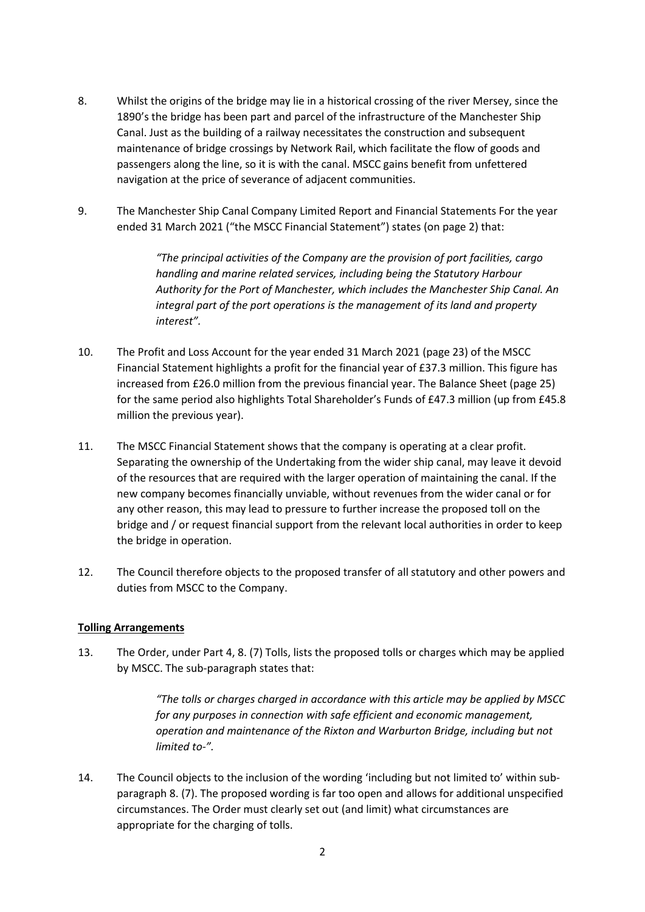- 8. Whilst the origins of the bridge may lie in a historical crossing of the river Mersey, since the 1890's the bridge has been part and parcel of the infrastructure of the Manchester Ship Canal. Just as the building of a railway necessitates the construction and subsequent maintenance of bridge crossings by Network Rail, which facilitate the flow of goods and passengers along the line, so it is with the canal. MSCC gains benefit from unfettered navigation at the price of severance of adjacent communities.
- 9. The Manchester Ship Canal Company Limited Report and Financial Statements For the year ended 31 March 2021 ("the MSCC Financial Statement") states (on page 2) that:

*"The principal activities of the Company are the provision of port facilities, cargo handling and marine related services, including being the Statutory Harbour Authority for the Port of Manchester, which includes the Manchester Ship Canal. An integral part of the port operations is the management of its land and property interest".*

- 10. The Profit and Loss Account for the year ended 31 March 2021 (page 23) of the MSCC Financial Statement highlights a profit for the financial year of £37.3 million. This figure has increased from £26.0 million from the previous financial year. The Balance Sheet (page 25) for the same period also highlights Total Shareholder's Funds of £47.3 million (up from £45.8 million the previous year).
- 11. The MSCC Financial Statement shows that the company is operating at a clear profit. Separating the ownership of the Undertaking from the wider ship canal, may leave it devoid of the resources that are required with the larger operation of maintaining the canal. If the new company becomes financially unviable, without revenues from the wider canal or for any other reason, this may lead to pressure to further increase the proposed toll on the bridge and / or request financial support from the relevant local authorities in order to keep the bridge in operation.
- 12. The Council therefore objects to the proposed transfer of all statutory and other powers and duties from MSCC to the Company.

#### **Tolling Arrangements**

13. The Order, under Part 4, 8. (7) Tolls, lists the proposed tolls or charges which may be applied by MSCC. The sub-paragraph states that:

> *"The tolls or charges charged in accordance with this article may be applied by MSCC for any purposes in connection with safe efficient and economic management, operation and maintenance of the Rixton and Warburton Bridge, including but not limited to-".*

14. The Council objects to the inclusion of the wording 'including but not limited to' within subparagraph 8. (7). The proposed wording is far too open and allows for additional unspecified circumstances. The Order must clearly set out (and limit) what circumstances are appropriate for the charging of tolls.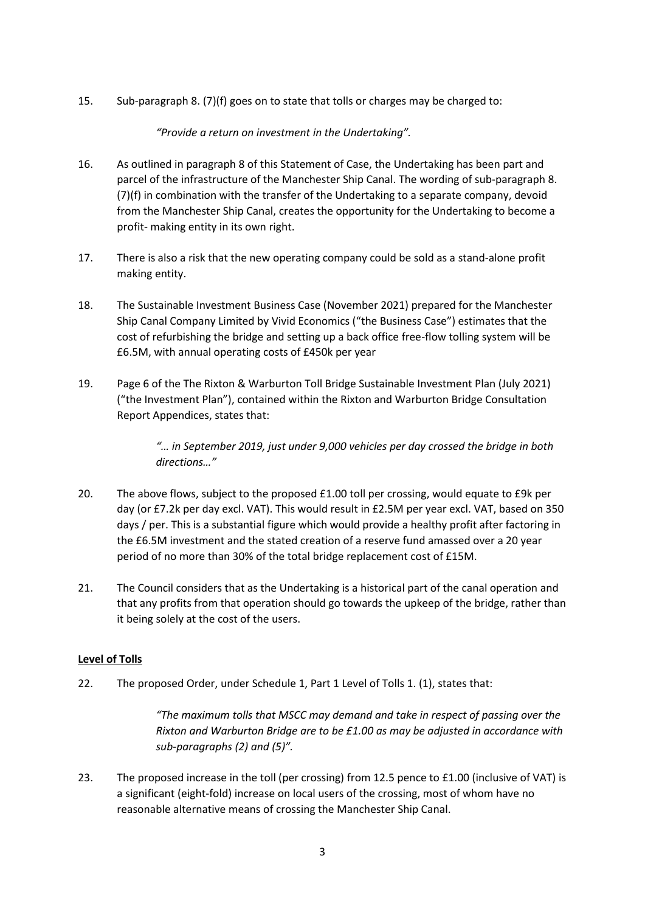15. Sub-paragraph 8. (7)(f) goes on to state that tolls or charges may be charged to:

*"Provide a return on investment in the Undertaking".*

- 16. As outlined in paragraph 8 of this Statement of Case, the Undertaking has been part and parcel of the infrastructure of the Manchester Ship Canal. The wording of sub-paragraph 8. (7)(f) in combination with the transfer of the Undertaking to a separate company, devoid from the Manchester Ship Canal, creates the opportunity for the Undertaking to become a profit- making entity in its own right.
- 17. There is also a risk that the new operating company could be sold as a stand-alone profit making entity.
- 18. The Sustainable Investment Business Case (November 2021) prepared for the Manchester Ship Canal Company Limited by Vivid Economics ("the Business Case") estimates that the cost of refurbishing the bridge and setting up a back office free-flow tolling system will be £6.5M, with annual operating costs of £450k per year
- 19. Page 6 of the The Rixton & Warburton Toll Bridge Sustainable Investment Plan (July 2021) ("the Investment Plan"), contained within the Rixton and Warburton Bridge Consultation Report Appendices, states that:

*"… in September 2019, just under 9,000 vehicles per day crossed the bridge in both directions…"* 

- 20. The above flows, subject to the proposed £1.00 toll per crossing, would equate to £9k per day (or £7.2k per day excl. VAT). This would result in £2.5M per year excl. VAT, based on 350 days / per. This is a substantial figure which would provide a healthy profit after factoring in the £6.5M investment and the stated creation of a reserve fund amassed over a 20 year period of no more than 30% of the total bridge replacement cost of £15M.
- 21. The Council considers that as the Undertaking is a historical part of the canal operation and that any profits from that operation should go towards the upkeep of the bridge, rather than it being solely at the cost of the users.

# **Level of Tolls**

22. The proposed Order, under Schedule 1, Part 1 Level of Tolls 1. (1), states that:

*"The maximum tolls that MSCC may demand and take in respect of passing over the Rixton and Warburton Bridge are to be £1.00 as may be adjusted in accordance with sub-paragraphs (2) and (5)".* 

23. The proposed increase in the toll (per crossing) from 12.5 pence to £1.00 (inclusive of VAT) is a significant (eight-fold) increase on local users of the crossing, most of whom have no reasonable alternative means of crossing the Manchester Ship Canal.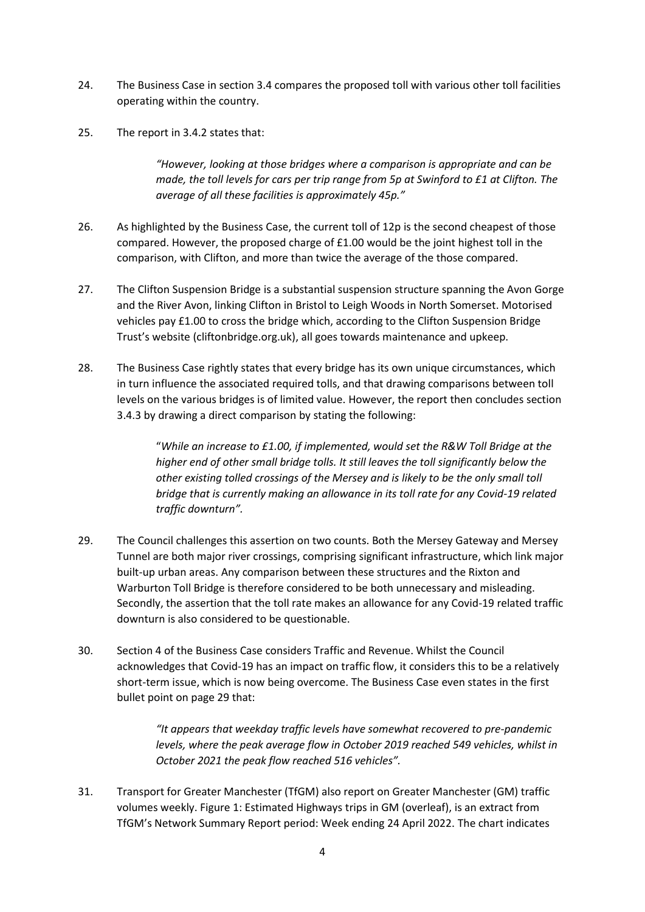- 24. The Business Case in section 3.4 compares the proposed toll with various other toll facilities operating within the country.
- 25. The report in 3.4.2 states that:

*"However, looking at those bridges where a comparison is appropriate and can be made, the toll levels for cars per trip range from 5p at Swinford to £1 at Clifton. The average of all these facilities is approximately 45p."*

- 26. As highlighted by the Business Case, the current toll of 12p is the second cheapest of those compared. However, the proposed charge of £1.00 would be the joint highest toll in the comparison, with Clifton, and more than twice the average of the those compared.
- 27. The Clifton Suspension Bridge is a substantial suspension structure spanning the Avon Gorge and the River Avon, linking Clifton in Bristol to Leigh Woods in North Somerset. Motorised vehicles pay £1.00 to cross the bridge which, according to the Clifton Suspension Bridge Trust's website (cliftonbridge.org.uk), all goes towards maintenance and upkeep.
- 28. The Business Case rightly states that every bridge has its own unique circumstances, which in turn influence the associated required tolls, and that drawing comparisons between toll levels on the various bridges is of limited value. However, the report then concludes section 3.4.3 by drawing a direct comparison by stating the following:

"*While an increase to £1.00, if implemented, would set the R&W Toll Bridge at the higher end of other small bridge tolls. It still leaves the toll significantly below the other existing tolled crossings of the Mersey and is likely to be the only small toll bridge that is currently making an allowance in its toll rate for any Covid-19 related traffic downturn".* 

- 29. The Council challenges this assertion on two counts. Both the Mersey Gateway and Mersey Tunnel are both major river crossings, comprising significant infrastructure, which link major built-up urban areas. Any comparison between these structures and the Rixton and Warburton Toll Bridge is therefore considered to be both unnecessary and misleading. Secondly, the assertion that the toll rate makes an allowance for any Covid-19 related traffic downturn is also considered to be questionable.
- 30. Section 4 of the Business Case considers Traffic and Revenue. Whilst the Council acknowledges that Covid-19 has an impact on traffic flow, it considers this to be a relatively short-term issue, which is now being overcome. The Business Case even states in the first bullet point on page 29 that:

*"It appears that weekday traffic levels have somewhat recovered to pre-pandemic levels, where the peak average flow in October 2019 reached 549 vehicles, whilst in October 2021 the peak flow reached 516 vehicles".*

31. Transport for Greater Manchester (TfGM) also report on Greater Manchester (GM) traffic volumes weekly. Figure 1: Estimated Highways trips in GM (overleaf), is an extract from TfGM's Network Summary Report period: Week ending 24 April 2022. The chart indicates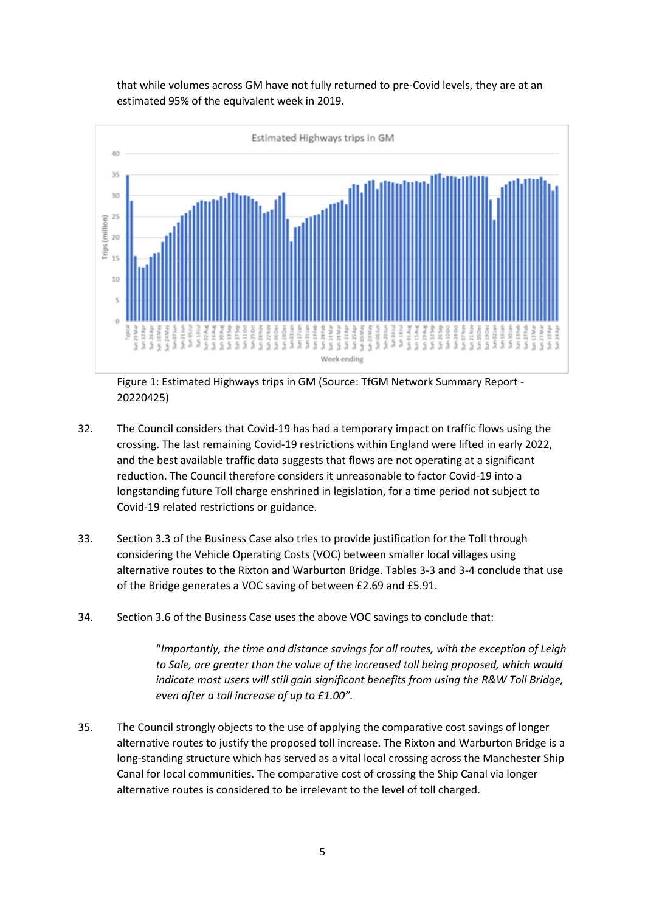that while volumes across GM have not fully returned to pre-Covid levels, they are at an estimated 95% of the equivalent week in 2019.



Figure 1: Estimated Highways trips in GM (Source: TfGM Network Summary Report - 20220425)

- 32. The Council considers that Covid-19 has had a temporary impact on traffic flows using the crossing. The last remaining Covid-19 restrictions within England were lifted in early 2022, and the best available traffic data suggests that flows are not operating at a significant reduction. The Council therefore considers it unreasonable to factor Covid-19 into a longstanding future Toll charge enshrined in legislation, for a time period not subject to Covid-19 related restrictions or guidance.
- 33. Section 3.3 of the Business Case also tries to provide justification for the Toll through considering the Vehicle Operating Costs (VOC) between smaller local villages using alternative routes to the Rixton and Warburton Bridge. Tables 3-3 and 3-4 conclude that use of the Bridge generates a VOC saving of between £2.69 and £5.91.
- 34. Section 3.6 of the Business Case uses the above VOC savings to conclude that:

"*Importantly, the time and distance savings for all routes, with the exception of Leigh to Sale, are greater than the value of the increased toll being proposed, which would indicate most users will still gain significant benefits from using the R&W Toll Bridge, even after a toll increase of up to £1.00".*

35. The Council strongly objects to the use of applying the comparative cost savings of longer alternative routes to justify the proposed toll increase. The Rixton and Warburton Bridge is a long-standing structure which has served as a vital local crossing across the Manchester Ship Canal for local communities. The comparative cost of crossing the Ship Canal via longer alternative routes is considered to be irrelevant to the level of toll charged.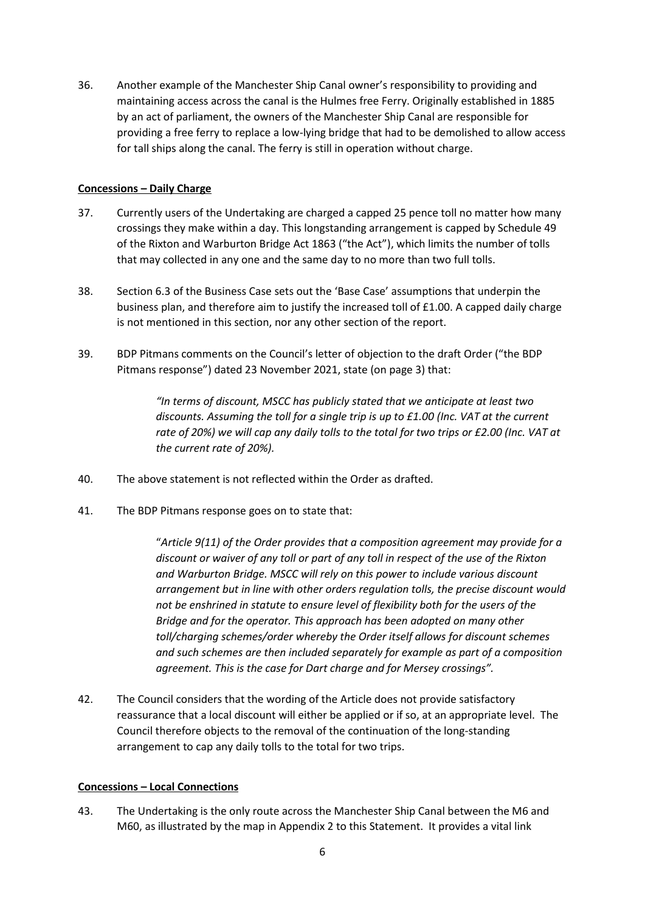36. Another example of the Manchester Ship Canal owner's responsibility to providing and maintaining access across the canal is the Hulmes free Ferry. Originally established in 1885 by an act of parliament, the owners of the Manchester Ship Canal are responsible for providing a free ferry to replace a low-lying bridge that had to be demolished to allow access for tall ships along the canal. The ferry is still in operation without charge.

# **Concessions – Daily Charge**

- 37. Currently users of the Undertaking are charged a capped 25 pence toll no matter how many crossings they make within a day. This longstanding arrangement is capped by Schedule 49 of the Rixton and Warburton Bridge Act 1863 ("the Act"), which limits the number of tolls that may collected in any one and the same day to no more than two full tolls.
- 38. Section 6.3 of the Business Case sets out the 'Base Case' assumptions that underpin the business plan, and therefore aim to justify the increased toll of £1.00. A capped daily charge is not mentioned in this section, nor any other section of the report.
- 39. BDP Pitmans comments on the Council's letter of objection to the draft Order ("the BDP Pitmans response") dated 23 November 2021, state (on page 3) that:

*"In terms of discount, MSCC has publicly stated that we anticipate at least two discounts. Assuming the toll for a single trip is up to £1.00 (Inc. VAT at the current rate of 20%) we will cap any daily tolls to the total for two trips or £2.00 (Inc. VAT at the current rate of 20%).*

- 40. The above statement is not reflected within the Order as drafted.
- 41. The BDP Pitmans response goes on to state that:

"*Article 9(11) of the Order provides that a composition agreement may provide for a discount or waiver of any toll or part of any toll in respect of the use of the Rixton and Warburton Bridge. MSCC will rely on this power to include various discount arrangement but in line with other orders regulation tolls, the precise discount would not be enshrined in statute to ensure level of flexibility both for the users of the Bridge and for the operator. This approach has been adopted on many other toll/charging schemes/order whereby the Order itself allows for discount schemes and such schemes are then included separately for example as part of a composition agreement. This is the case for Dart charge and for Mersey crossings".*

42. The Council considers that the wording of the Article does not provide satisfactory reassurance that a local discount will either be applied or if so, at an appropriate level. The Council therefore objects to the removal of the continuation of the long-standing arrangement to cap any daily tolls to the total for two trips.

#### **Concessions – Local Connections**

43. The Undertaking is the only route across the Manchester Ship Canal between the M6 and M60, as illustrated by the map in Appendix 2 to this Statement. It provides a vital link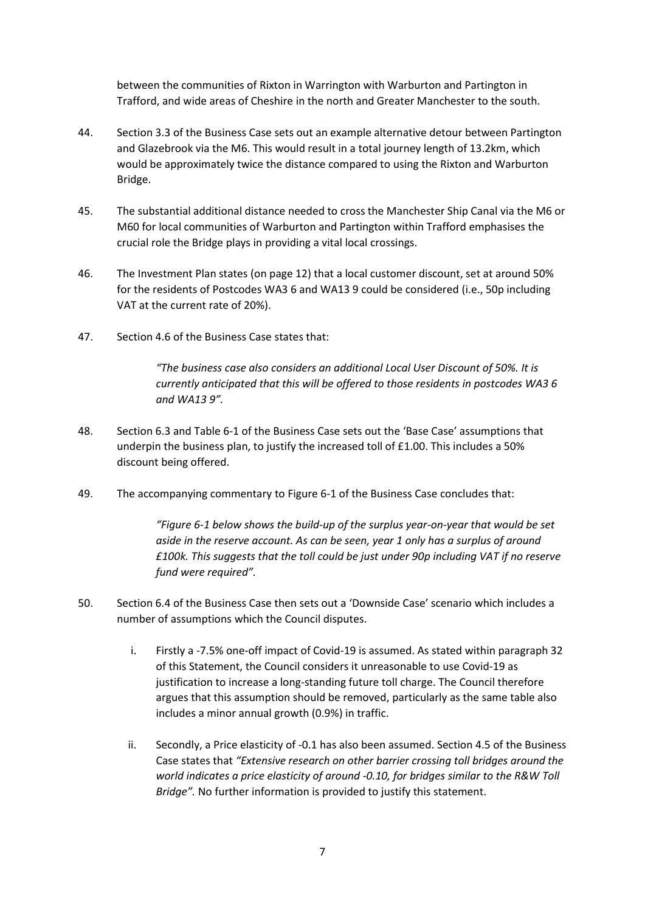between the communities of Rixton in Warrington with Warburton and Partington in Trafford, and wide areas of Cheshire in the north and Greater Manchester to the south.

- 44. Section 3.3 of the Business Case sets out an example alternative detour between Partington and Glazebrook via the M6. This would result in a total journey length of 13.2km, which would be approximately twice the distance compared to using the Rixton and Warburton Bridge.
- 45. The substantial additional distance needed to cross the Manchester Ship Canal via the M6 or M60 for local communities of Warburton and Partington within Trafford emphasises the crucial role the Bridge plays in providing a vital local crossings.
- 46. The Investment Plan states (on page 12) that a local customer discount, set at around 50% for the residents of Postcodes WA3 6 and WA13 9 could be considered (i.e., 50p including VAT at the current rate of 20%).
- 47. Section 4.6 of the Business Case states that:

*"The business case also considers an additional Local User Discount of 50%. It is currently anticipated that this will be offered to those residents in postcodes WA3 6 and WA13 9".* 

- 48. Section 6.3 and Table 6-1 of the Business Case sets out the 'Base Case' assumptions that underpin the business plan, to justify the increased toll of £1.00. This includes a 50% discount being offered.
- 49. The accompanying commentary to Figure 6-1 of the Business Case concludes that:

*"Figure 6-1 below shows the build-up of the surplus year-on-year that would be set aside in the reserve account. As can be seen, year 1 only has a surplus of around £100k. This suggests that the toll could be just under 90p including VAT if no reserve fund were required".* 

- 50. Section 6.4 of the Business Case then sets out a 'Downside Case' scenario which includes a number of assumptions which the Council disputes.
	- i. Firstly a -7.5% one-off impact of Covid-19 is assumed. As stated within paragraph 32 of this Statement, the Council considers it unreasonable to use Covid-19 as justification to increase a long-standing future toll charge. The Council therefore argues that this assumption should be removed, particularly as the same table also includes a minor annual growth (0.9%) in traffic.
	- ii. Secondly, a Price elasticity of -0.1 has also been assumed. Section 4.5 of the Business Case states that *"Extensive research on other barrier crossing toll bridges around the world indicates a price elasticity of around -0.10, for bridges similar to the R&W Toll Bridge".* No further information is provided to justify this statement.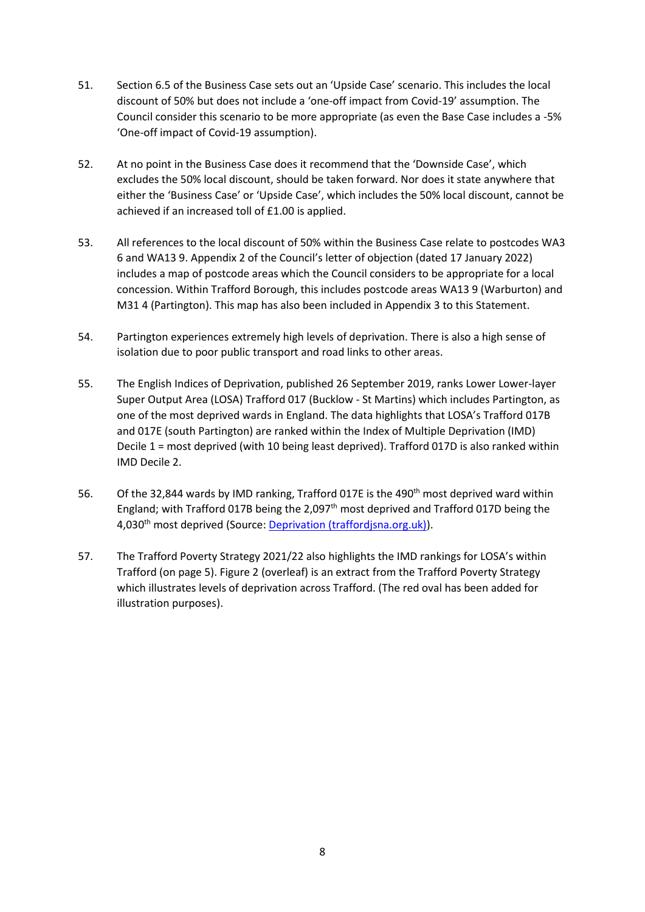- 51. Section 6.5 of the Business Case sets out an 'Upside Case' scenario. This includes the local discount of 50% but does not include a 'one-off impact from Covid-19' assumption. The Council consider this scenario to be more appropriate (as even the Base Case includes a -5% 'One-off impact of Covid-19 assumption).
- 52. At no point in the Business Case does it recommend that the 'Downside Case', which excludes the 50% local discount, should be taken forward. Nor does it state anywhere that either the 'Business Case' or 'Upside Case', which includes the 50% local discount, cannot be achieved if an increased toll of £1.00 is applied.
- 53. All references to the local discount of 50% within the Business Case relate to postcodes WA3 6 and WA13 9. Appendix 2 of the Council's letter of objection (dated 17 January 2022) includes a map of postcode areas which the Council considers to be appropriate for a local concession. Within Trafford Borough, this includes postcode areas WA13 9 (Warburton) and M31 4 (Partington). This map has also been included in Appendix 3 to this Statement.
- 54. Partington experiences extremely high levels of deprivation. There is also a high sense of isolation due to poor public transport and road links to other areas.
- 55. The English Indices of Deprivation, published 26 September 2019, ranks Lower Lower-layer Super Output Area (LOSA) Trafford 017 (Bucklow - St Martins) which includes Partington, as one of the most deprived wards in England. The data highlights that LOSA's Trafford 017B and 017E (south Partington) are ranked within the Index of Multiple Deprivation (IMD) Decile 1 = most deprived (with 10 being least deprived). Trafford 017D is also ranked within IMD Decile 2.
- 56. Of the 32,844 wards by IMD ranking, Trafford 017E is the 490<sup>th</sup> most deprived ward within England; with Trafford 017B being the 2,097<sup>th</sup> most deprived and Trafford 017D being the 4,030<sup>th</sup> most deprived (Source: [Deprivation \(traffordjsna.org.uk\)\)](https://www.traffordjsna.org.uk/About-Trafford/Key-demographics/Deprivation.aspx).
- 57. The Trafford Poverty Strategy 2021/22 also highlights the IMD rankings for LOSA's within Trafford (on page 5). Figure 2 (overleaf) is an extract from the Trafford Poverty Strategy which illustrates levels of deprivation across Trafford. (The red oval has been added for illustration purposes).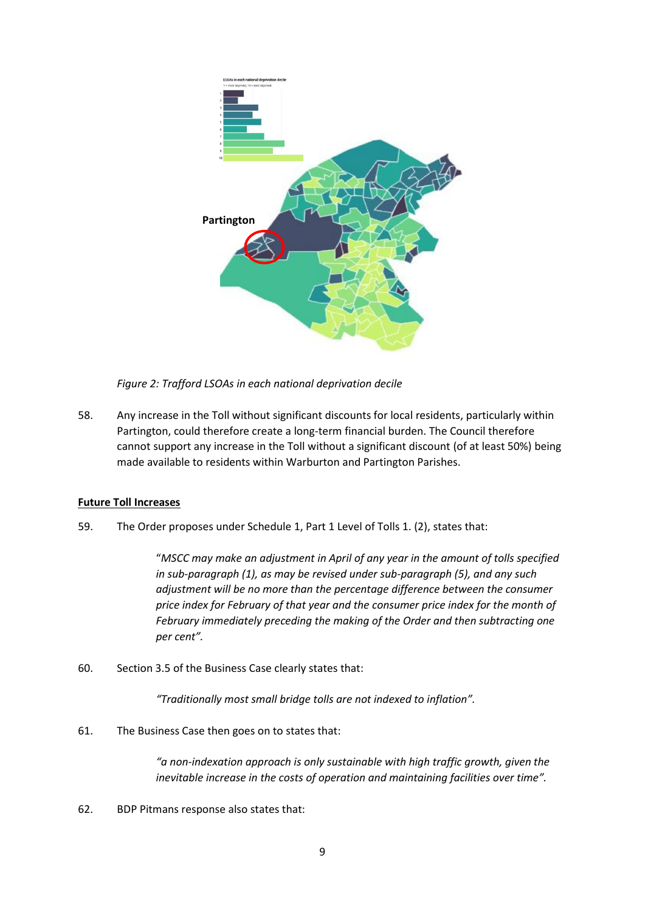

*Figure 2: Trafford LSOAs in each national deprivation decile*

58. Any increase in the Toll without significant discounts for local residents, particularly within Partington, could therefore create a long-term financial burden. The Council therefore cannot support any increase in the Toll without a significant discount (of at least 50%) being made available to residents within Warburton and Partington Parishes.

# **Future Toll Increases**

59. The Order proposes under Schedule 1, Part 1 Level of Tolls 1. (2), states that:

"*MSCC may make an adjustment in April of any year in the amount of tolls specified in sub-paragraph (1), as may be revised under sub-paragraph (5), and any such adjustment will be no more than the percentage difference between the consumer price index for February of that year and the consumer price index for the month of February immediately preceding the making of the Order and then subtracting one per cent".*

60. Section 3.5 of the Business Case clearly states that:

"*Traditionally most small bridge tolls are not indexed to inflation"*.

61. The Business Case then goes on to states that:

*"a non-indexation approach is only sustainable with high traffic growth, given the inevitable increase in the costs of operation and maintaining facilities over time".* 

62. BDP Pitmans response also states that: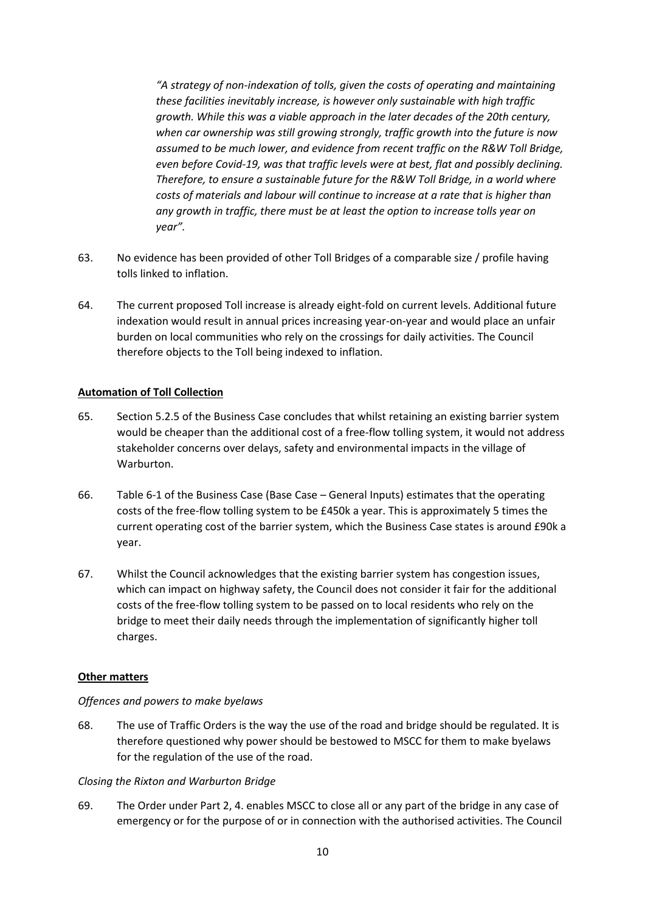*"A strategy of non-indexation of tolls, given the costs of operating and maintaining these facilities inevitably increase, is however only sustainable with high traffic growth. While this was a viable approach in the later decades of the 20th century, when car ownership was still growing strongly, traffic growth into the future is now assumed to be much lower, and evidence from recent traffic on the R&W Toll Bridge, even before Covid-19, was that traffic levels were at best, flat and possibly declining. Therefore, to ensure a sustainable future for the R&W Toll Bridge, in a world where costs of materials and labour will continue to increase at a rate that is higher than any growth in traffic, there must be at least the option to increase tolls year on year".*

- 63. No evidence has been provided of other Toll Bridges of a comparable size / profile having tolls linked to inflation.
- 64. The current proposed Toll increase is already eight-fold on current levels. Additional future indexation would result in annual prices increasing year-on-year and would place an unfair burden on local communities who rely on the crossings for daily activities. The Council therefore objects to the Toll being indexed to inflation.

# **Automation of Toll Collection**

- 65. Section 5.2.5 of the Business Case concludes that whilst retaining an existing barrier system would be cheaper than the additional cost of a free-flow tolling system, it would not address stakeholder concerns over delays, safety and environmental impacts in the village of Warburton.
- 66. Table 6-1 of the Business Case (Base Case General Inputs) estimates that the operating costs of the free-flow tolling system to be £450k a year. This is approximately 5 times the current operating cost of the barrier system, which the Business Case states is around £90k a year.
- 67. Whilst the Council acknowledges that the existing barrier system has congestion issues, which can impact on highway safety, the Council does not consider it fair for the additional costs of the free-flow tolling system to be passed on to local residents who rely on the bridge to meet their daily needs through the implementation of significantly higher toll charges.

#### **Other matters**

#### *Offences and powers to make byelaws*

68. The use of Traffic Orders is the way the use of the road and bridge should be regulated. It is therefore questioned why power should be bestowed to MSCC for them to make byelaws for the regulation of the use of the road.

#### *Closing the Rixton and Warburton Bridge*

69. The Order under Part 2, 4. enables MSCC to close all or any part of the bridge in any case of emergency or for the purpose of or in connection with the authorised activities. The Council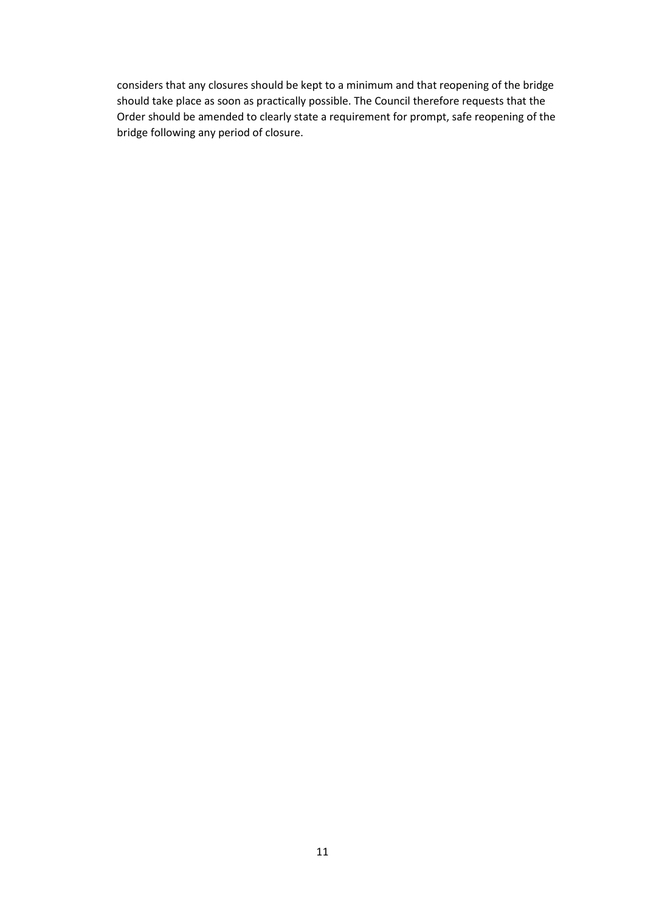considers that any closures should be kept to a minimum and that reopening of the bridge should take place as soon as practically possible. The Council therefore requests that the Order should be amended to clearly state a requirement for prompt, safe reopening of the bridge following any period of closure.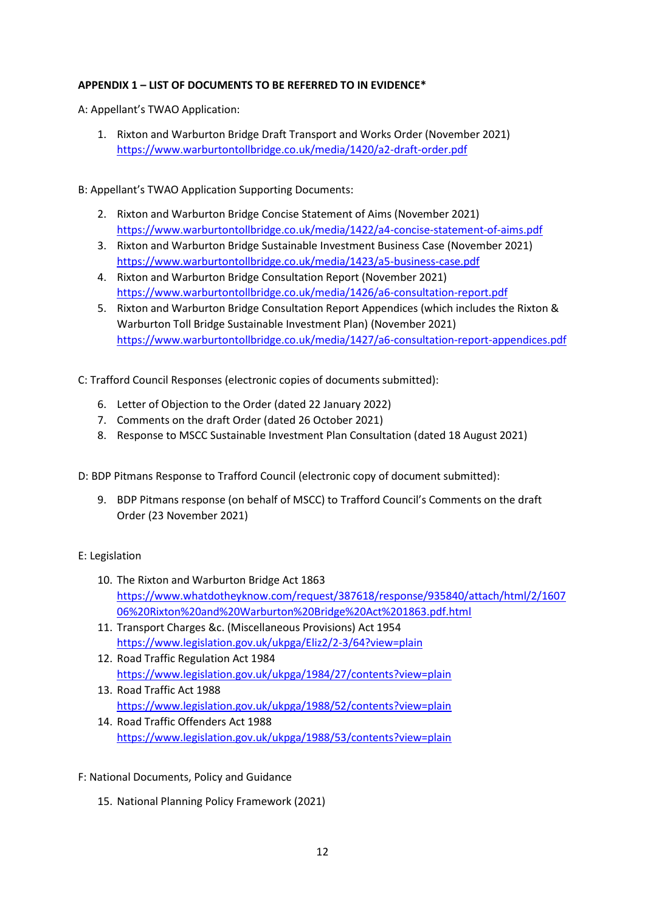# **APPENDIX 1 – LIST OF DOCUMENTS TO BE REFERRED TO IN EVIDENCE\***

A: Appellant's TWAO Application:

- 1. Rixton and Warburton Bridge Draft Transport and Works Order (November 2021) <https://www.warburtontollbridge.co.uk/media/1420/a2-draft-order.pdf>
- B: Appellant's TWAO Application Supporting Documents:
	- 2. Rixton and Warburton Bridge Concise Statement of Aims (November 2021) <https://www.warburtontollbridge.co.uk/media/1422/a4-concise-statement-of-aims.pdf>
	- 3. Rixton and Warburton Bridge Sustainable Investment Business Case (November 2021) <https://www.warburtontollbridge.co.uk/media/1423/a5-business-case.pdf>
	- 4. Rixton and Warburton Bridge Consultation Report (November 2021) <https://www.warburtontollbridge.co.uk/media/1426/a6-consultation-report.pdf>
	- 5. Rixton and Warburton Bridge Consultation Report Appendices (which includes the Rixton & Warburton Toll Bridge Sustainable Investment Plan) (November 2021) <https://www.warburtontollbridge.co.uk/media/1427/a6-consultation-report-appendices.pdf>
- C: Trafford Council Responses (electronic copies of documents submitted):
	- 6. Letter of Objection to the Order (dated 22 January 2022)
	- 7. Comments on the draft Order (dated 26 October 2021)
	- 8. Response to MSCC Sustainable Investment Plan Consultation (dated 18 August 2021)

D: BDP Pitmans Response to Trafford Council (electronic copy of document submitted):

9. BDP Pitmans response (on behalf of MSCC) to Trafford Council's Comments on the draft Order (23 November 2021)

#### E: Legislation

- 10. The Rixton and Warburton Bridge Act 1863 [https://www.whatdotheyknow.com/request/387618/response/935840/attach/html/2/1607](https://www.whatdotheyknow.com/request/387618/response/935840/attach/html/2/160706%20Rixton%20and%20Warburton%20Bridge%20Act%201863.pdf.html) [06%20Rixton%20and%20Warburton%20Bridge%20Act%201863.pdf.html](https://www.whatdotheyknow.com/request/387618/response/935840/attach/html/2/160706%20Rixton%20and%20Warburton%20Bridge%20Act%201863.pdf.html)
- 11. Transport Charges &c. (Miscellaneous Provisions) Act 1954 <https://www.legislation.gov.uk/ukpga/Eliz2/2-3/64?view=plain>
- 12. Road Traffic Regulation Act 1984 <https://www.legislation.gov.uk/ukpga/1984/27/contents?view=plain>
- 13. Road Traffic Act 1988 <https://www.legislation.gov.uk/ukpga/1988/52/contents?view=plain>
- 14. Road Traffic Offenders Act 1988 <https://www.legislation.gov.uk/ukpga/1988/53/contents?view=plain>

#### F: National Documents, Policy and Guidance

15. National Planning Policy Framework (2021)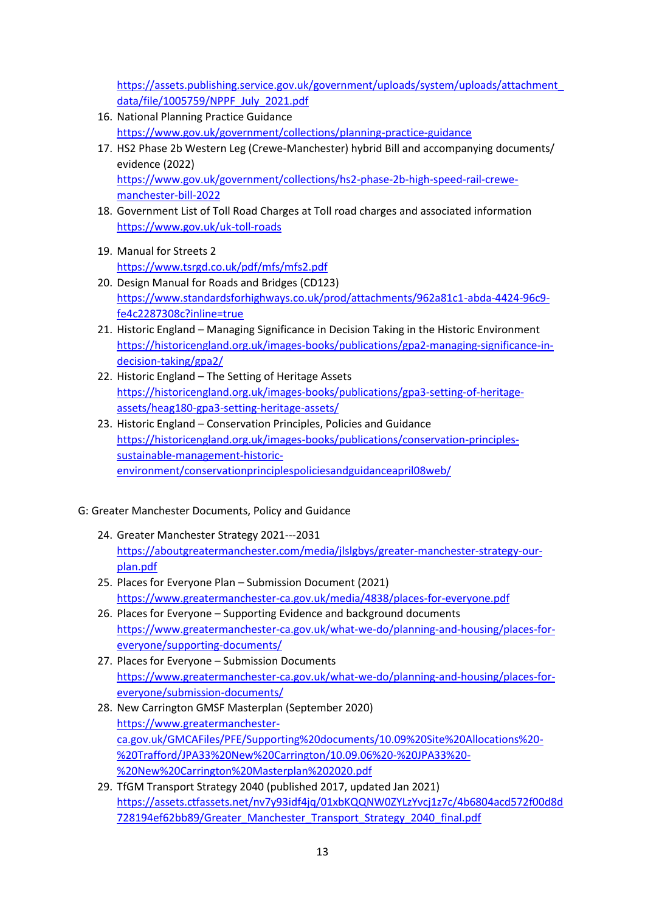[https://assets.publishing.service.gov.uk/government/uploads/system/uploads/attachment\\_](https://assets.publishing.service.gov.uk/government/uploads/system/uploads/attachment_data/file/1005759/NPPF_July_2021.pdf) [data/file/1005759/NPPF\\_July\\_2021.pdf](https://assets.publishing.service.gov.uk/government/uploads/system/uploads/attachment_data/file/1005759/NPPF_July_2021.pdf)

- 16. National Planning Practice Guidance <https://www.gov.uk/government/collections/planning-practice-guidance>
- 17. HS2 Phase 2b Western Leg (Crewe-Manchester) hybrid Bill and accompanying documents/ evidence (2022) [https://www.gov.uk/government/collections/hs2-phase-2b-high-speed-rail-crewe](https://www.gov.uk/government/collections/hs2-phase-2b-high-speed-rail-crewe-manchester-bill-2022)[manchester-bill-2022](https://www.gov.uk/government/collections/hs2-phase-2b-high-speed-rail-crewe-manchester-bill-2022)
- 18. Government List of Toll Road Charges at Toll road charges and associated information <https://www.gov.uk/uk-toll-roads>
- 19. Manual for Streets 2 <https://www.tsrgd.co.uk/pdf/mfs/mfs2.pdf>
- 20. Design Manual for Roads and Bridges (CD123) [https://www.standardsforhighways.co.uk/prod/attachments/962a81c1-abda-4424-96c9](https://www.standardsforhighways.co.uk/prod/attachments/962a81c1-abda-4424-96c9-fe4c2287308c?inline=true) [fe4c2287308c?inline=true](https://www.standardsforhighways.co.uk/prod/attachments/962a81c1-abda-4424-96c9-fe4c2287308c?inline=true)
- 21. Historic England Managing Significance in Decision Taking in the Historic Environment [https://historicengland.org.uk/images-books/publications/gpa2-managing-significance-in](https://historicengland.org.uk/images-books/publications/gpa2-managing-significance-in-decision-taking/gpa2/)[decision-taking/gpa2/](https://historicengland.org.uk/images-books/publications/gpa2-managing-significance-in-decision-taking/gpa2/)
- 22. Historic England The Setting of Heritage Assets [https://historicengland.org.uk/images-books/publications/gpa3-setting-of-heritage](https://historicengland.org.uk/images-books/publications/gpa3-setting-of-heritage-assets/heag180-gpa3-setting-heritage-assets/)[assets/heag180-gpa3-setting-heritage-assets/](https://historicengland.org.uk/images-books/publications/gpa3-setting-of-heritage-assets/heag180-gpa3-setting-heritage-assets/)
- 23. Historic England Conservation Principles, Policies and Guidance [https://historicengland.org.uk/images-books/publications/conservation-principles](https://historicengland.org.uk/images-books/publications/conservation-principles-sustainable-management-historic-environment/conservationprinciplespoliciesandguidanceapril08web/)[sustainable-management-historic](https://historicengland.org.uk/images-books/publications/conservation-principles-sustainable-management-historic-environment/conservationprinciplespoliciesandguidanceapril08web/)[environment/conservationprinciplespoliciesandguidanceapril08web/](https://historicengland.org.uk/images-books/publications/conservation-principles-sustainable-management-historic-environment/conservationprinciplespoliciesandguidanceapril08web/)

# G: Greater Manchester Documents, Policy and Guidance

- 24. Greater Manchester Strategy 2021---2031 [https://aboutgreatermanchester.com/media/jlslgbys/greater-manchester-strategy-our](https://aboutgreatermanchester.com/media/jlslgbys/greater-manchester-strategy-our-plan.pdf)[plan.pdf](https://aboutgreatermanchester.com/media/jlslgbys/greater-manchester-strategy-our-plan.pdf)
- 25. Places for Everyone Plan Submission Document (2021) <https://www.greatermanchester-ca.gov.uk/media/4838/places-for-everyone.pdf>
- 26. Places for Everyone Supporting Evidence and background documents [https://www.greatermanchester-ca.gov.uk/what-we-do/planning-and-housing/places-for](https://www.greatermanchester-ca.gov.uk/what-we-do/planning-and-housing/places-for-everyone/supporting-documents/)[everyone/supporting-documents/](https://www.greatermanchester-ca.gov.uk/what-we-do/planning-and-housing/places-for-everyone/supporting-documents/)
- 27. Places for Everyone Submission Documents [https://www.greatermanchester-ca.gov.uk/what-we-do/planning-and-housing/places-for](https://www.greatermanchester-ca.gov.uk/what-we-do/planning-and-housing/places-for-everyone/submission-documents/)[everyone/submission-documents/](https://www.greatermanchester-ca.gov.uk/what-we-do/planning-and-housing/places-for-everyone/submission-documents/)
- 28. New Carrington GMSF Masterplan (September 2020) [https://www.greatermanchester](https://www.greatermanchester-ca.gov.uk/GMCAFiles/PFE/Supporting%20documents/10.09%20Site%20Allocations%20-%20Trafford/JPA33%20New%20Carrington/10.09.06%20-%20JPA33%20-%20New%20Carrington%20Masterplan%202020.pdf)[ca.gov.uk/GMCAFiles/PFE/Supporting%20documents/10.09%20Site%20Allocations%20-](https://www.greatermanchester-ca.gov.uk/GMCAFiles/PFE/Supporting%20documents/10.09%20Site%20Allocations%20-%20Trafford/JPA33%20New%20Carrington/10.09.06%20-%20JPA33%20-%20New%20Carrington%20Masterplan%202020.pdf) [%20Trafford/JPA33%20New%20Carrington/10.09.06%20-%20JPA33%20-](https://www.greatermanchester-ca.gov.uk/GMCAFiles/PFE/Supporting%20documents/10.09%20Site%20Allocations%20-%20Trafford/JPA33%20New%20Carrington/10.09.06%20-%20JPA33%20-%20New%20Carrington%20Masterplan%202020.pdf) [%20New%20Carrington%20Masterplan%202020.pdf](https://www.greatermanchester-ca.gov.uk/GMCAFiles/PFE/Supporting%20documents/10.09%20Site%20Allocations%20-%20Trafford/JPA33%20New%20Carrington/10.09.06%20-%20JPA33%20-%20New%20Carrington%20Masterplan%202020.pdf)
- 29. TfGM Transport Strategy 2040 (published 2017, updated Jan 2021) [https://assets.ctfassets.net/nv7y93idf4jq/01xbKQQNW0ZYLzYvcj1z7c/4b6804acd572f00d8d](https://assets.ctfassets.net/nv7y93idf4jq/01xbKQQNW0ZYLzYvcj1z7c/4b6804acd572f00d8d728194ef62bb89/Greater_Manchester_Transport_Strategy_2040_final.pdf) [728194ef62bb89/Greater\\_Manchester\\_Transport\\_Strategy\\_2040\\_final.pdf](https://assets.ctfassets.net/nv7y93idf4jq/01xbKQQNW0ZYLzYvcj1z7c/4b6804acd572f00d8d728194ef62bb89/Greater_Manchester_Transport_Strategy_2040_final.pdf)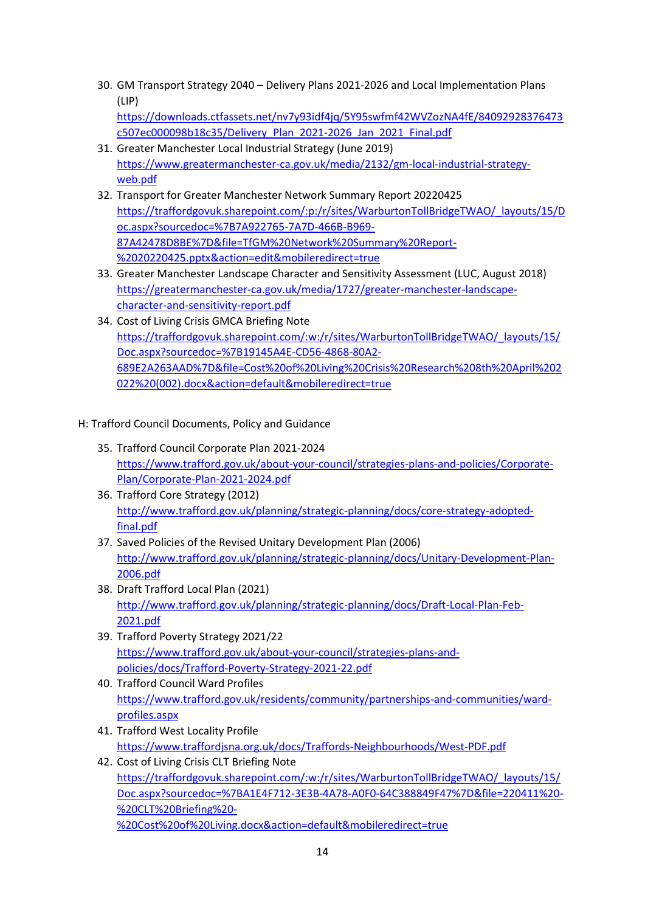- 30. GM Transport Strategy 2040 Delivery Plans 2021-2026 and Local Implementation Plans (LIP) [https://downloads.ctfassets.net/nv7y93idf4jq/5Y95swfmf42WVZozNA4fE/84092928376473](https://downloads.ctfassets.net/nv7y93idf4jq/5Y95swfmf42WVZozNA4fE/84092928376473c507ec000098b18c35/Delivery_Plan_2021-2026_Jan_2021_Final.pdf) [c507ec000098b18c35/Delivery\\_Plan\\_2021-2026\\_Jan\\_2021\\_Final.pdf](https://downloads.ctfassets.net/nv7y93idf4jq/5Y95swfmf42WVZozNA4fE/84092928376473c507ec000098b18c35/Delivery_Plan_2021-2026_Jan_2021_Final.pdf)
- 31. Greater Manchester Local Industrial Strategy (June 2019) [https://www.greatermanchester-ca.gov.uk/media/2132/gm-local-industrial-strategy](https://www.greatermanchester-ca.gov.uk/media/2132/gm-local-industrial-strategy-web.pdf)[web.pdf](https://www.greatermanchester-ca.gov.uk/media/2132/gm-local-industrial-strategy-web.pdf)
- 32. Transport for Greater Manchester Network Summary Report 20220425 [https://traffordgovuk.sharepoint.com/:p:/r/sites/WarburtonTollBridgeTWAO/\\_layouts/15/D](https://traffordgovuk.sharepoint.com/:p:/r/sites/WarburtonTollBridgeTWAO/_layouts/15/Doc.aspx?sourcedoc=%7B7A922765-7A7D-466B-B969-87A42478D8BE%7D&file=TfGM%20Network%20Summary%20Report-%2020220425.pptx&action=edit&mobileredirect=true) [oc.aspx?sourcedoc=%7B7A922765-7A7D-466B-B969-](https://traffordgovuk.sharepoint.com/:p:/r/sites/WarburtonTollBridgeTWAO/_layouts/15/Doc.aspx?sourcedoc=%7B7A922765-7A7D-466B-B969-87A42478D8BE%7D&file=TfGM%20Network%20Summary%20Report-%2020220425.pptx&action=edit&mobileredirect=true) [87A42478D8BE%7D&file=TfGM%20Network%20Summary%20Report-](https://traffordgovuk.sharepoint.com/:p:/r/sites/WarburtonTollBridgeTWAO/_layouts/15/Doc.aspx?sourcedoc=%7B7A922765-7A7D-466B-B969-87A42478D8BE%7D&file=TfGM%20Network%20Summary%20Report-%2020220425.pptx&action=edit&mobileredirect=true) [%2020220425.pptx&action=edit&mobileredirect=true](https://traffordgovuk.sharepoint.com/:p:/r/sites/WarburtonTollBridgeTWAO/_layouts/15/Doc.aspx?sourcedoc=%7B7A922765-7A7D-466B-B969-87A42478D8BE%7D&file=TfGM%20Network%20Summary%20Report-%2020220425.pptx&action=edit&mobileredirect=true)
- 33. Greater Manchester Landscape Character and Sensitivity Assessment (LUC, August 2018) [https://greatermanchester-ca.gov.uk/media/1727/greater-manchester-landscape](https://greatermanchester-ca.gov.uk/media/1727/greater-manchester-landscape-character-and-sensitivity-report.pdf)[character-and-sensitivity-report.pdf](https://greatermanchester-ca.gov.uk/media/1727/greater-manchester-landscape-character-and-sensitivity-report.pdf)
- 34. Cost of Living Crisis GMCA Briefing Note [https://traffordgovuk.sharepoint.com/:w:/r/sites/WarburtonTollBridgeTWAO/\\_layouts/15/](https://traffordgovuk.sharepoint.com/:w:/r/sites/WarburtonTollBridgeTWAO/_layouts/15/Doc.aspx?sourcedoc=%7B19145A4E-CD56-4868-80A2-689E2A263AAD%7D&file=Cost%20of%20Living%20Crisis%20Research%208th%20April%202022%20(002).docx&action=default&mobileredirect=true) [Doc.aspx?sourcedoc=%7B19145A4E-CD56-4868-80A2-](https://traffordgovuk.sharepoint.com/:w:/r/sites/WarburtonTollBridgeTWAO/_layouts/15/Doc.aspx?sourcedoc=%7B19145A4E-CD56-4868-80A2-689E2A263AAD%7D&file=Cost%20of%20Living%20Crisis%20Research%208th%20April%202022%20(002).docx&action=default&mobileredirect=true) [689E2A263AAD%7D&file=Cost%20of%20Living%20Crisis%20Research%208th%20April%202](https://traffordgovuk.sharepoint.com/:w:/r/sites/WarburtonTollBridgeTWAO/_layouts/15/Doc.aspx?sourcedoc=%7B19145A4E-CD56-4868-80A2-689E2A263AAD%7D&file=Cost%20of%20Living%20Crisis%20Research%208th%20April%202022%20(002).docx&action=default&mobileredirect=true) [022%20\(002\).docx&action=default&mobileredirect=true](https://traffordgovuk.sharepoint.com/:w:/r/sites/WarburtonTollBridgeTWAO/_layouts/15/Doc.aspx?sourcedoc=%7B19145A4E-CD56-4868-80A2-689E2A263AAD%7D&file=Cost%20of%20Living%20Crisis%20Research%208th%20April%202022%20(002).docx&action=default&mobileredirect=true)
- H: Trafford Council Documents, Policy and Guidance
	- 35. Trafford Council Corporate Plan 2021-2024 [https://www.trafford.gov.uk/about-your-council/strategies-plans-and-policies/Corporate-](https://www.trafford.gov.uk/about-your-council/strategies-plans-and-policies/Corporate-Plan/Corporate-Plan-2021-2024.pdf)[Plan/Corporate-Plan-2021-2024.pdf](https://www.trafford.gov.uk/about-your-council/strategies-plans-and-policies/Corporate-Plan/Corporate-Plan-2021-2024.pdf)
	- 36. Trafford Core Strategy (2012) [http://www.trafford.gov.uk/planning/strategic-planning/docs/core-strategy-adopted](http://www.trafford.gov.uk/planning/strategic-planning/docs/core-strategy-adopted-final.pdf)[final.pdf](http://www.trafford.gov.uk/planning/strategic-planning/docs/core-strategy-adopted-final.pdf)
	- 37. Saved Policies of the Revised Unitary Development Plan (2006) [http://www.trafford.gov.uk/planning/strategic-planning/docs/Unitary-Development-Plan-](http://www.trafford.gov.uk/planning/strategic-planning/docs/Unitary-Development-Plan-2006.pdf)[2006.pdf](http://www.trafford.gov.uk/planning/strategic-planning/docs/Unitary-Development-Plan-2006.pdf)
	- 38. Draft Trafford Local Plan (2021) [http://www.trafford.gov.uk/planning/strategic-planning/docs/Draft-Local-Plan-Feb-](http://www.trafford.gov.uk/planning/strategic-planning/docs/Draft-Local-Plan-Feb-2021.pdf)[2021.pdf](http://www.trafford.gov.uk/planning/strategic-planning/docs/Draft-Local-Plan-Feb-2021.pdf)
	- 39. Trafford Poverty Strategy 2021/22 [https://www.trafford.gov.uk/about-your-council/strategies-plans-and](https://www.trafford.gov.uk/about-your-council/strategies-plans-and-policies/docs/Trafford-Poverty-Strategy-2021-22.pdf)[policies/docs/Trafford-Poverty-Strategy-2021-22.pdf](https://www.trafford.gov.uk/about-your-council/strategies-plans-and-policies/docs/Trafford-Poverty-Strategy-2021-22.pdf)
	- 40. Trafford Council Ward Profiles [https://www.trafford.gov.uk/residents/community/partnerships-and-communities/ward](https://www.trafford.gov.uk/residents/community/partnerships-and-communities/ward-profiles.aspx)[profiles.aspx](https://www.trafford.gov.uk/residents/community/partnerships-and-communities/ward-profiles.aspx)
	- 41. Trafford West Locality Profile <https://www.traffordjsna.org.uk/docs/Traffords-Neighbourhoods/West-PDF.pdf>
	- 42. Cost of Living Crisis CLT Briefing Note [https://traffordgovuk.sharepoint.com/:w:/r/sites/WarburtonTollBridgeTWAO/\\_layouts/15/](https://traffordgovuk.sharepoint.com/:w:/r/sites/WarburtonTollBridgeTWAO/_layouts/15/Doc.aspx?sourcedoc=%7BA1E4F712-3E3B-4A78-A0F0-64C388849F47%7D&file=220411%20-%20CLT%20Briefing%20-%20Cost%20of%20Living.docx&action=default&mobileredirect=true) [Doc.aspx?sourcedoc=%7BA1E4F712-3E3B-4A78-A0F0-64C388849F47%7D&file=220411%20-](https://traffordgovuk.sharepoint.com/:w:/r/sites/WarburtonTollBridgeTWAO/_layouts/15/Doc.aspx?sourcedoc=%7BA1E4F712-3E3B-4A78-A0F0-64C388849F47%7D&file=220411%20-%20CLT%20Briefing%20-%20Cost%20of%20Living.docx&action=default&mobileredirect=true) [%20CLT%20Briefing%20-](https://traffordgovuk.sharepoint.com/:w:/r/sites/WarburtonTollBridgeTWAO/_layouts/15/Doc.aspx?sourcedoc=%7BA1E4F712-3E3B-4A78-A0F0-64C388849F47%7D&file=220411%20-%20CLT%20Briefing%20-%20Cost%20of%20Living.docx&action=default&mobileredirect=true) [%20Cost%20of%20Living.docx&action=default&mobileredirect=true](https://traffordgovuk.sharepoint.com/:w:/r/sites/WarburtonTollBridgeTWAO/_layouts/15/Doc.aspx?sourcedoc=%7BA1E4F712-3E3B-4A78-A0F0-64C388849F47%7D&file=220411%20-%20CLT%20Briefing%20-%20Cost%20of%20Living.docx&action=default&mobileredirect=true)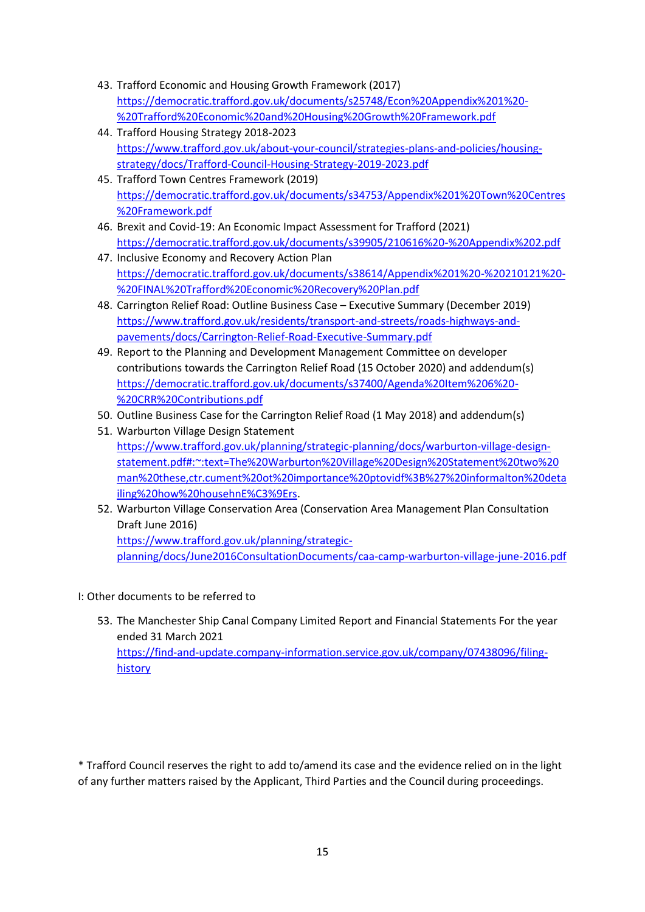- 43. Trafford Economic and Housing Growth Framework (2017) [https://democratic.trafford.gov.uk/documents/s25748/Econ%20Appendix%201%20-](https://democratic.trafford.gov.uk/documents/s25748/Econ%20Appendix%201%20-%20Trafford%20Economic%20and%20Housing%20Growth%20Framework.pdf) [%20Trafford%20Economic%20and%20Housing%20Growth%20Framework.pdf](https://democratic.trafford.gov.uk/documents/s25748/Econ%20Appendix%201%20-%20Trafford%20Economic%20and%20Housing%20Growth%20Framework.pdf)
- 44. Trafford Housing Strategy 2018-2023 [https://www.trafford.gov.uk/about-your-council/strategies-plans-and-policies/housing](https://www.trafford.gov.uk/about-your-council/strategies-plans-and-policies/housing-strategy/docs/Trafford-Council-Housing-Strategy-2019-2023.pdf)[strategy/docs/Trafford-Council-Housing-Strategy-2019-2023.pdf](https://www.trafford.gov.uk/about-your-council/strategies-plans-and-policies/housing-strategy/docs/Trafford-Council-Housing-Strategy-2019-2023.pdf)
- 45. Trafford Town Centres Framework (2019) [https://democratic.trafford.gov.uk/documents/s34753/Appendix%201%20Town%20Centres](https://democratic.trafford.gov.uk/documents/s34753/Appendix%201%20Town%20Centres%20Framework.pdf) [%20Framework.pdf](https://democratic.trafford.gov.uk/documents/s34753/Appendix%201%20Town%20Centres%20Framework.pdf)
- 46. Brexit and Covid-19: An Economic Impact Assessment for Trafford (2021) <https://democratic.trafford.gov.uk/documents/s39905/210616%20-%20Appendix%202.pdf>
- 47. Inclusive Economy and Recovery Action Plan [https://democratic.trafford.gov.uk/documents/s38614/Appendix%201%20-%20210121%20-](https://democratic.trafford.gov.uk/documents/s38614/Appendix%201%20-%20210121%20-%20FINAL%20Trafford%20Economic%20Recovery%20Plan.pdf) [%20FINAL%20Trafford%20Economic%20Recovery%20Plan.pdf](https://democratic.trafford.gov.uk/documents/s38614/Appendix%201%20-%20210121%20-%20FINAL%20Trafford%20Economic%20Recovery%20Plan.pdf)
- 48. Carrington Relief Road: Outline Business Case Executive Summary (December 2019) [https://www.trafford.gov.uk/residents/transport-and-streets/roads-highways-and](https://www.trafford.gov.uk/residents/transport-and-streets/roads-highways-and-pavements/docs/Carrington-Relief-Road-Executive-Summary.pdf)[pavements/docs/Carrington-Relief-Road-Executive-Summary.pdf](https://www.trafford.gov.uk/residents/transport-and-streets/roads-highways-and-pavements/docs/Carrington-Relief-Road-Executive-Summary.pdf)
- 49. Report to the Planning and Development Management Committee on developer contributions towards the Carrington Relief Road (15 October 2020) and addendum(s) [https://democratic.trafford.gov.uk/documents/s37400/Agenda%20Item%206%20-](https://democratic.trafford.gov.uk/documents/s37400/Agenda%20Item%206%20-%20CRR%20Contributions.pdf) [%20CRR%20Contributions.pdf](https://democratic.trafford.gov.uk/documents/s37400/Agenda%20Item%206%20-%20CRR%20Contributions.pdf)
- 50. Outline Business Case for the Carrington Relief Road (1 May 2018) and addendum(s)
- 51. Warburton Village Design Statement [https://www.trafford.gov.uk/planning/strategic-planning/docs/warburton-village-design](https://www.trafford.gov.uk/planning/strategic-planning/docs/warburton-village-design-statement.pdf#:~:text=The%20Warburton%20Village%20Design%20Statement%20two%20man%20these,ctr.cument%20ot%20importance%20ptovidf%3B%27%20informalton%20detailing%20how%20househnE%C3%9Ers)[statement.pdf#:~:text=The%20Warburton%20Village%20Design%20Statement%20two%20](https://www.trafford.gov.uk/planning/strategic-planning/docs/warburton-village-design-statement.pdf#:~:text=The%20Warburton%20Village%20Design%20Statement%20two%20man%20these,ctr.cument%20ot%20importance%20ptovidf%3B%27%20informalton%20detailing%20how%20househnE%C3%9Ers) [man%20these,ctr.cument%20ot%20importance%20ptovidf%3B%27%20informalton%20deta](https://www.trafford.gov.uk/planning/strategic-planning/docs/warburton-village-design-statement.pdf#:~:text=The%20Warburton%20Village%20Design%20Statement%20two%20man%20these,ctr.cument%20ot%20importance%20ptovidf%3B%27%20informalton%20detailing%20how%20househnE%C3%9Ers) [iling%20how%20househnE%C3%9Ers.](https://www.trafford.gov.uk/planning/strategic-planning/docs/warburton-village-design-statement.pdf#:~:text=The%20Warburton%20Village%20Design%20Statement%20two%20man%20these,ctr.cument%20ot%20importance%20ptovidf%3B%27%20informalton%20detailing%20how%20househnE%C3%9Ers)
- 52. Warburton Village Conservation Area (Conservation Area Management Plan Consultation Draft June 2016) [https://www.trafford.gov.uk/planning/strategic-](https://www.trafford.gov.uk/planning/strategic-planning/docs/June2016ConsultationDocuments/caa-camp-warburton-village-june-2016.pdf)

[planning/docs/June2016ConsultationDocuments/caa-camp-warburton-village-june-2016.pdf](https://www.trafford.gov.uk/planning/strategic-planning/docs/June2016ConsultationDocuments/caa-camp-warburton-village-june-2016.pdf)

- I: Other documents to be referred to
	- 53. The Manchester Ship Canal Company Limited Report and Financial Statements For the year ended 31 March 2021 [https://find-and-update.company-information.service.gov.uk/company/07438096/filing](https://find-and-update.company-information.service.gov.uk/company/07438096/filing-history)[history](https://find-and-update.company-information.service.gov.uk/company/07438096/filing-history)

\* Trafford Council reserves the right to add to/amend its case and the evidence relied on in the light of any further matters raised by the Applicant, Third Parties and the Council during proceedings.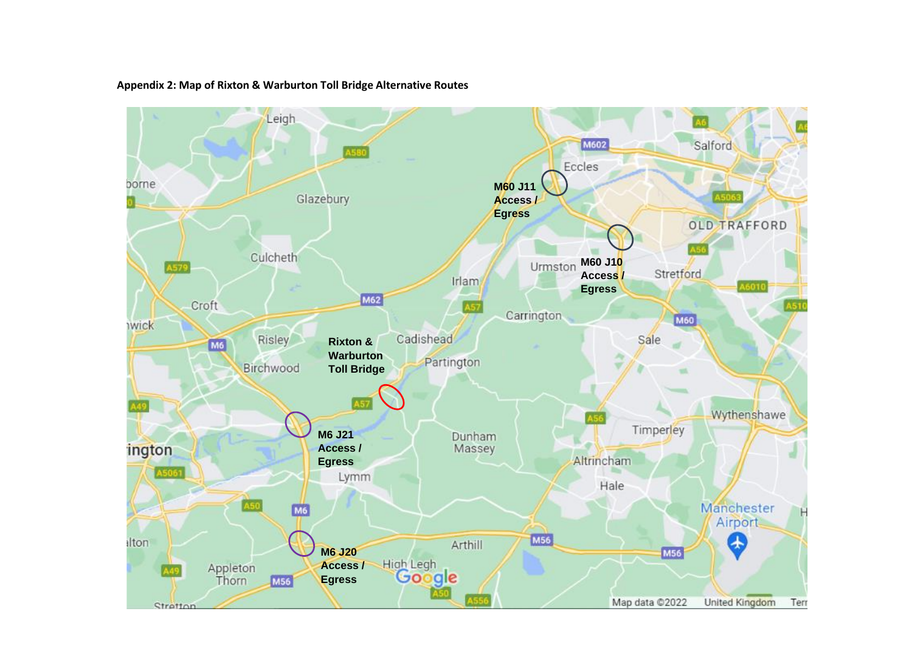

#### **Appendix 2: Map of Rixton & Warburton Toll Bridge Alternative Routes**